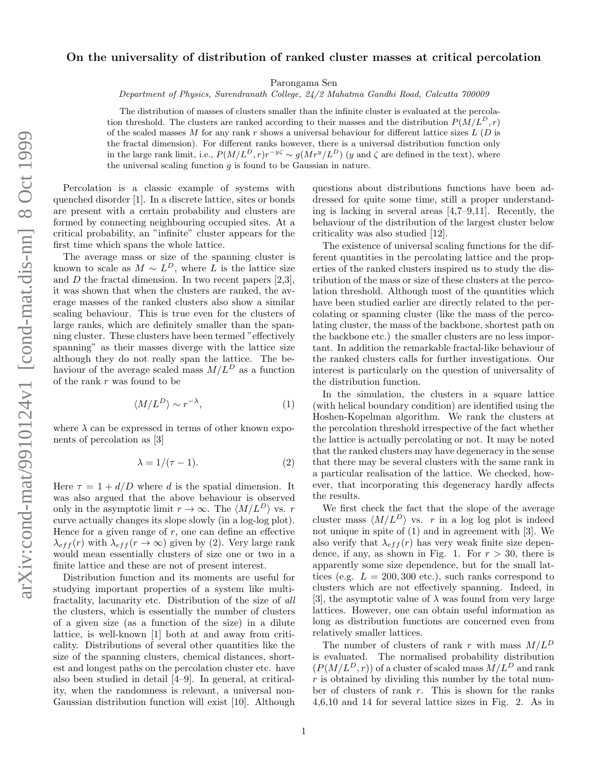## On the universality of distribution of ranked cluster masses at critical percolation

Parongama Sen

Department of Physics, Surendranath College, 24/2 Mahatma Gandhi Road, Calcutta 700009

The distribution of masses of clusters smaller than the infinite cluster is evaluated at the percolation threshold. The clusters are ranked according to their masses and the distribution  $P(M/L^D, r)$ of the scaled masses M for any rank r shows a universal behaviour for different lattice sizes  $L(D)$  is the fractal dimension). For different ranks however, there is a universal distribution function only in the large rank limit, i.e.,  $P(M/L^D, r)r^{-y\zeta} \sim g(Mr^y/L^D)$  (y and  $\zeta$  are defined in the text), where the universal scaling function  $g$  is found to be Gaussian in nature.

Percolation is a classic example of systems with quenched disorder [1]. In a discrete lattice, sites or bonds are present with a certain probability and clusters are formed by connecting neighbouring occupied sites. At a critical probability, an "infinite" cluster appears for the first time which spans the whole lattice.

The average mass or size of the spanning cluster is known to scale as  $M \sim L^D$ , where L is the lattice size and  $D$  the fractal dimension. In two recent papers  $[2,3]$ , it was shown that when the clusters are ranked, the average masses of the ranked clusters also show a similar scaling behaviour. This is true even for the clusters of large ranks, which are definitely smaller than the spanning cluster. These clusters have been termed "effectively spanning" as their masses diverge with the lattice size although they do not really span the lattice. The behaviour of the average scaled mass  $M/L^D$  as a function of the rank  $r$  was found to be

$$
\langle M/L^D \rangle \sim r^{-\lambda},\tag{1}
$$

where  $\lambda$  can be expressed in terms of other known exponents of percolation as [3]

$$
\lambda = 1/(\tau - 1). \tag{2}
$$

Here  $\tau = 1 + d/D$  where d is the spatial dimension. It was also argued that the above behaviour is observed only in the asymptotic limit  $r \to \infty$ . The  $\langle M/L^D \rangle$  vs. r curve actually changes its slope slowly (in a log-log plot). Hence for a given range of  $r$ , one can define an effective  $\lambda_{eff}(r)$  with  $\lambda_{eff}(r \to \infty)$  given by (2). Very large rank would mean essentially clusters of size one or two in a finite lattice and these are not of present interest.

Distribution function and its moments are useful for studying important properties of a system like multifractality, lacunarity etc. Distribution of the size of all the clusters, which is essentially the number of clusters of a given size (as a function of the size) in a dilute lattice, is well-known [1] both at and away from criticality. Distributions of several other quantities like the size of the spanning clusters, chemical distances, shortest and longest paths on the percolation cluster etc. have also been studied in detail [4–9]. In general, at criticality, when the randomness is relevant, a universal non-Gaussian distribution function will exist [10]. Although questions about distributions functions have been addressed for quite some time, still a proper understanding is lacking in several areas [4,7–9,11]. Recently, the behaviour of the distribution of the largest cluster below criticality was also studied [12].

The existence of universal scaling functions for the different quantities in the percolating lattice and the properties of the ranked clusters inspired us to study the distribution of the mass or size of these clusters at the percolation threshold. Although most of the quantities which have been studied earlier are directly related to the percolating or spanning cluster (like the mass of the percolating cluster, the mass of the backbone, shortest path on the backbone etc.) the smaller clusters are no less important. In addition the remarkable fractal-like behaviour of the ranked clusters calls for further investigations. Our interest is particularly on the question of universality of the distribution function.

In the simulation, the clusters in a square lattice (with helical boundary condition) are identified using the Hoshen-Kopelman algorithm. We rank the clusters at the percolation threshold irrespective of the fact whether the lattice is actually percolating or not. It may be noted that the ranked clusters may have degeneracy in the sense that there may be several clusters with the same rank in a particular realisation of the lattice. We checked, however, that incorporating this degeneracy hardly affects the results.

We first check the fact that the slope of the average cluster mass  $\langle M/L^D \rangle$  vs. r in a log log plot is indeed not unique in spite of (1) and in agreement with [3]. We also verify that  $\lambda_{eff}(r)$  has very weak finite size dependence, if any, as shown in Fig. 1. For  $r > 30$ , there is apparently some size dependence, but for the small lattices (e.g.  $L = 200, 300$  etc.), such ranks correspond to clusters which are not effectively spanning. Indeed, in [3], the asymptotic value of  $\lambda$  was found from very large lattices. However, one can obtain useful information as long as distribution functions are concerned even from relatively smaller lattices.

The number of clusters of rank r with mass  $M/L^D$ is evaluated. The normalised probability distribution  $(P(M/L<sup>D</sup>, r))$  of a cluster of scaled mass  $\tilde{M/L}^D$  and rank  $r$  is obtained by dividing this number by the total number of clusters of rank r. This is shown for the ranks 4,6,10 and 14 for several lattice sizes in Fig. 2. As in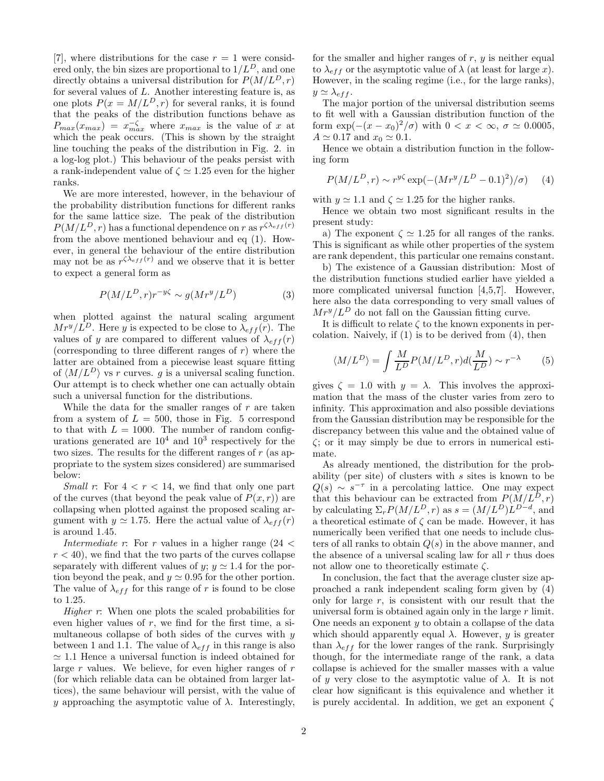[7], where distributions for the case  $r = 1$  were considered only, the bin sizes are proportional to  $1/L<sup>D</sup>$ , and one directly obtains a universal distribution for  $P(M/L^D, r)$ for several values of  $L$ . Another interesting feature is, as one plots  $P(x = M/L<sup>D</sup>, r)$  for several ranks, it is found that the peaks of the distribution functions behave as  $P_{max}(x_{max}) = x_{max}^{-\zeta}$  where  $x_{max}$  is the value of x at which the peak occurs. (This is shown by the straight line touching the peaks of the distribution in Fig. 2. in a log-log plot.) This behaviour of the peaks persist with a rank-independent value of  $\zeta \simeq 1.25$  even for the higher ranks.

We are more interested, however, in the behaviour of the probability distribution functions for different ranks for the same lattice size. The peak of the distribution  $P(M/L^D, r)$  has a functional dependence on r as  $r^{\zeta \lambda_{eff}(r)}$ from the above mentioned behaviour and eq (1). However, in general the behaviour of the entire distribution may not be as  $r^{\zeta \lambda_{eff}(r)}$  and we observe that it is better to expect a general form as

$$
P(M/L^D, r)r^{-y\zeta} \sim g(Mr^y/L^D)
$$
 (3)

when plotted against the natural scaling argument  $Mr^y/L^D$ . Here y is expected to be close to  $\lambda_{eff}(r)$ . The values of y are compared to different values of  $\lambda_{eff}(r)$ (corresponding to three different ranges of  $r$ ) where the latter are obtained from a piecewise least square fitting of  $\langle M/L^D \rangle$  vs r curves. g is a universal scaling function. Our attempt is to check whether one can actually obtain such a universal function for the distributions.

While the data for the smaller ranges of  $r$  are taken from a system of  $L = 500$ , those in Fig. 5 correspond to that with  $L = 1000$ . The number of random configurations generated are  $10^4$  and  $10^3$  respectively for the two sizes. The results for the different ranges of  $r$  (as appropriate to the system sizes considered) are summarised below:

*Small r*: For  $4 < r < 14$ , we find that only one part of the curves (that beyond the peak value of  $P(x, r)$ ) are collapsing when plotted against the proposed scaling argument with  $y \approx 1.75$ . Here the actual value of  $\lambda_{eff}(r)$ is around 1.45.

Intermediate r: For r values in a higher range  $(24 <$  $r < 40$ , we find that the two parts of the curves collapse separately with different values of y;  $y \approx 1.4$  for the portion beyond the peak, and  $y \approx 0.95$  for the other portion. The value of  $\lambda_{eff}$  for this range of r is found to be close to 1.25.

Higher r: When one plots the scaled probabilities for even higher values of  $r$ , we find for the first time, a simultaneous collapse of both sides of the curves with  $y$ between 1 and 1.1. The value of  $\lambda_{eff}$  in this range is also  $\simeq$  1.1 Hence a universal function is indeed obtained for large  $r$  values. We believe, for even higher ranges of  $r$ (for which reliable data can be obtained from larger lattices), the same behaviour will persist, with the value of y approaching the asymptotic value of  $\lambda$ . Interestingly,

for the smaller and higher ranges of  $r, y$  is neither equal to  $\lambda_{eff}$  or the asymptotic value of  $\lambda$  (at least for large x). However, in the scaling regime (i.e., for the large ranks),  $y \simeq \lambda_{eff}$ .

The major portion of the universal distribution seems to fit well with a Gaussian distribution function of the form  $\exp(-(x-x_0)^2/\sigma)$  with  $0 < x < \infty$ ,  $\sigma \simeq 0.0005$ ,  $A \simeq 0.17$  and  $x_0 \simeq 0.1$ .

Hence we obtain a distribution function in the following form

$$
P(M/L^D, r) \sim r^{y\zeta} \exp(-(Mr^y/L^D - 0.1)^2)/\sigma) \tag{4}
$$

with  $y \approx 1.1$  and  $\zeta \approx 1.25$  for the higher ranks.

Hence we obtain two most significant results in the present study:

a) The exponent  $\zeta \simeq 1.25$  for all ranges of the ranks. This is significant as while other properties of the system are rank dependent, this particular one remains constant.

b) The existence of a Gaussian distribution: Most of the distribution functions studied earlier have yielded a more complicated universal function [4,5,7]. However, here also the data corresponding to very small values of  $Mr^y/L^D$  do not fall on the Gaussian fitting curve.

It is difficult to relate  $\zeta$  to the known exponents in percolation. Naively, if  $(1)$  is to be derived from  $(4)$ , then

$$
\langle M/L^D \rangle = \int \frac{M}{L^D} P(M/L^D, r) d(\frac{M}{L^D}) \sim r^{-\lambda} \tag{5}
$$

gives  $\zeta = 1.0$  with  $y = \lambda$ . This involves the approximation that the mass of the cluster varies from zero to infinity. This approximation and also possible deviations from the Gaussian distribution may be responsible for the discrepancy between this value and the obtained value of ζ; or it may simply be due to errors in numerical estimate.

As already mentioned, the distribution for the probability (per site) of clusters with s sites is known to be  $Q(s) \sim s^{-\tau}$  in a percolating lattice. One may expect that this behaviour can be extracted from  $P(M/L^D, r)$ by calculating  $\Sigma_r P(M/L^D, r)$  as  $s = (M/L^D) L^{D-d}$ , and a theoretical estimate of  $\zeta$  can be made. However, it has numerically been verified that one needs to include clusters of all ranks to obtain  $Q(s)$  in the above manner, and the absence of a universal scaling law for all  $r$  thus does not allow one to theoretically estimate  $\zeta$ .

In conclusion, the fact that the average cluster size approached a rank independent scaling form given by (4) only for large  $r$ , is consistent with our result that the universal form is obtained again only in the large  $r$  limit. One needs an exponent  $y$  to obtain a collapse of the data which should apparently equal  $\lambda$ . However, y is greater than  $\lambda_{eff}$  for the lower ranges of the rank. Surprisingly though, for the intermediate range of the rank, a data collapse is achieved for the smaller masses with a value of y very close to the asymptotic value of  $\lambda$ . It is not clear how significant is this equivalence and whether it is purely accidental. In addition, we get an exponent  $\zeta$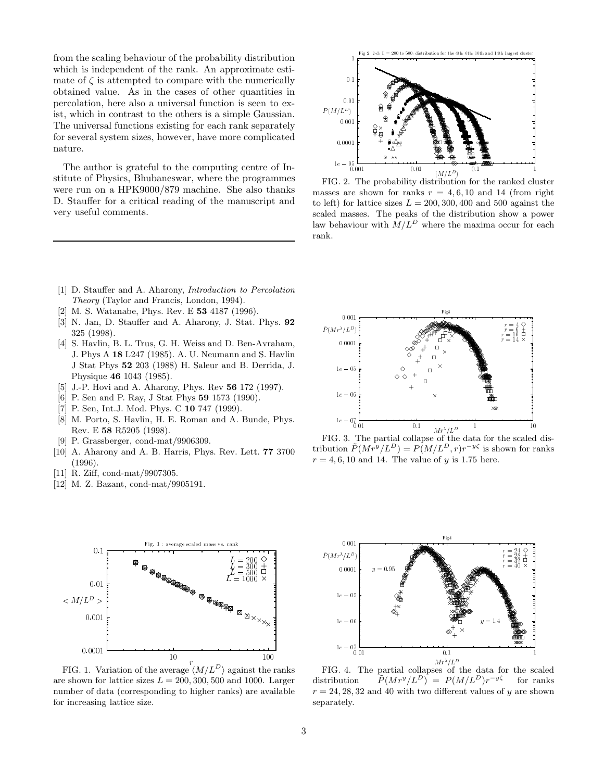from the scaling behaviour of the probability distribution which is independent of the rank. An approximate estimate of  $\zeta$  is attempted to compare with the numerically obtained value. As in the cases of other quantities in percolation, here also a universal function is seen to exist, which in contrast to the others is a simple Gaussian. The universal functions existing for each rank separately for several system sizes, however, have more complicated nature.

The author is grateful to the computing centre of Institute of Physics, Bhubaneswar, where the programmes were run on a HPK9000/879 machine. She also thanks D. Stauffer for a critical reading of the manuscript and very useful comments.



FIG. 2. The probability distribution for the ranked cluster masses are shown for ranks  $r = 4, 6, 10$  and 14 (from right to left) for lattice sizes  $L = 200, 300, 400$  and 500 against the scaled masses. The peaks of the distribution show a power law behaviour with  $M/L^D$  where the maxima occur for each rank.

- [1] D. Stauffer and A. Aharony, Introduction to Percolation Theory (Taylor and Francis, London, 1994).
- [2] M. S. Watanabe, Phys. Rev. E 53 4187 (1996).
- [3] N. Jan, D. Stauffer and A. Aharony, J. Stat. Phys. 92 325 (1998).
- [4] S. Havlin, B. L. Trus, G. H. Weiss and D. Ben-Avraham, J. Phys A 18 L247 (1985). A. U. Neumann and S. Havlin J Stat Phys 52 203 (1988) H. Saleur and B. Derrida, J. Physique 46 1043 (1985).
- [5] J.-P. Hovi and A. Aharony, Phys. Rev 56 172 (1997).
- [6] P. Sen and P. Ray, J Stat Phys 59 1573 (1990).
- [7] P. Sen, Int.J. Mod. Phys. C 10 747 (1999).
- [8] M. Porto, S. Havlin, H. E. Roman and A. Bunde, Phys. Rev. E 58 R5205 (1998).
- [9] P. Grassberger, cond-mat/9906309.
- [10] A. Aharony and A. B. Harris, Phys. Rev. Lett. 77 3700 (1996).
- [11] R. Ziff, cond-mat/9907305.
- [12] M. Z. Bazant, cond-mat/9905191.



FIG. 3. The partial collapse of the data for the scaled distribution  $\tilde{P}(M r^y/L^D) = P(M/L^D, r) r^{-y\zeta}$  is shown for ranks  $r = 4, 6, 10$  and 14. The value of y is 1.75 here.



FIG. 1. Variation of the average  $\langle M/L^D \rangle$  against the ranks are shown for lattice sizes  $L = 200, 300, 500$  and 1000. Larger number of data (corresponding to higher ranks) are available for increasing lattice size.



FIG. 4. The partial collapses of the data for the scaled distribution  $(L^D)$  =  $P(M/L^D)r^{-y\zeta}$  for ranks  $r = 24, 28, 32,$  and 40 with two different values of y are shown separately.